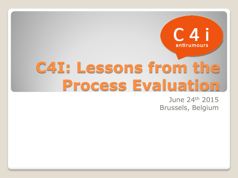

# **C4I: Lessons from the Process Evaluation**

June 24th 2015 Brussels, Belgium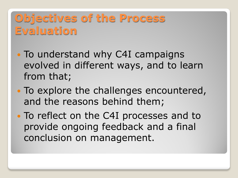#### **Objectives of the Process Evaluation**

- To understand why C4I campaigns evolved in different ways, and to learn from that;
- To explore the challenges encountered, and the reasons behind them;
- To reflect on the C4I processes and to provide ongoing feedback and a final conclusion on management.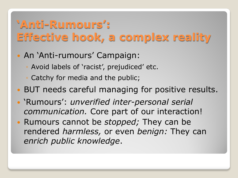### **'Anti-Rumours': Effective hook, a complex reality**

- An 'Anti-rumours' Campaign:
	- Avoid labels of 'racist', prejudiced' etc.
	- Catchy for media and the public;
- BUT needs careful managing for positive results.
- 'Rumours': *unverified inter-personal serial communication.* Core part of our interaction!
- Rumours cannot be *stopped;* They can be rendered *harmless,* or even *benign:* They can *enrich public knowledge*.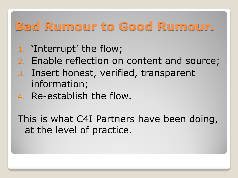# **Bad Rumour to Good Rumour.**

- 1. 'Interrupt' the flow;
- 2. Enable reflection on content and source;
- 3. Insert honest, verified, transparent information;
- 4. Re-establish the flow.

This is what C4I Partners have been doing, at the level of practice.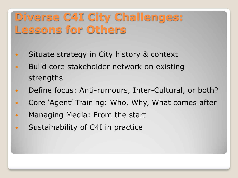#### **Diverse C4I City Challenges: Lessons for Others**

- Situate strategy in City history & context
- Build core stakeholder network on existing strengths
- Define focus: Anti-rumours, Inter-Cultural, or both?
- Core 'Agent' Training: Who, Why, What comes after
- Managing Media: From the start
- Sustainability of C4I in practice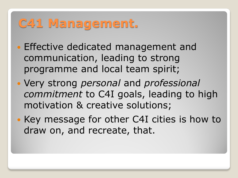# **C41 Management.**

- **Effective dedicated management and** communication, leading to strong programme and local team spirit;
- Very strong *personal* and *professional commitment* to C4I goals, leading to high motivation & creative solutions;
- Key message for other C4I cities is how to draw on, and recreate, that.